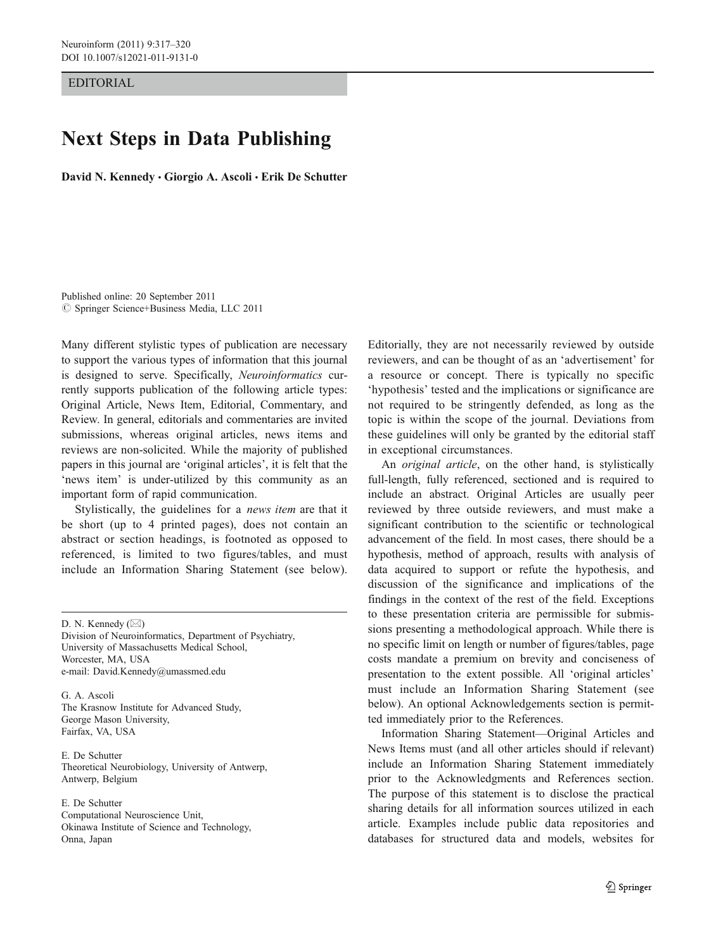EDITORIAL

## Next Steps in Data Publishing

David N. Kennedy · Giorgio A. Ascoli · Erik De Schutter

Published online: 20 September 2011  $©$  Springer Science+Business Media, LLC 2011

Many different stylistic types of publication are necessary to support the various types of information that this journal is designed to serve. Specifically, Neuroinformatics currently supports publication of the following article types: Original Article, News Item, Editorial, Commentary, and Review. In general, editorials and commentaries are invited submissions, whereas original articles, news items and reviews are non-solicited. While the majority of published papers in this journal are 'original articles', it is felt that the 'news item' is under-utilized by this community as an important form of rapid communication.

Stylistically, the guidelines for a news item are that it be short (up to 4 printed pages), does not contain an abstract or section headings, is footnoted as opposed to referenced, is limited to two figures/tables, and must include an Information Sharing Statement (see below).

D. N. Kennedy  $(\boxtimes)$ 

Division of Neuroinformatics, Department of Psychiatry, University of Massachusetts Medical School, Worcester, MA, USA e-mail: David.Kennedy@umassmed.edu

G. A. Ascoli The Krasnow Institute for Advanced Study, George Mason University, Fairfax, VA, USA

E. De Schutter Theoretical Neurobiology, University of Antwerp, Antwerp, Belgium

E. De Schutter Computational Neuroscience Unit, Okinawa Institute of Science and Technology, Onna, Japan

Editorially, they are not necessarily reviewed by outside reviewers, and can be thought of as an 'advertisement' for a resource or concept. There is typically no specific 'hypothesis' tested and the implications or significance are not required to be stringently defended, as long as the topic is within the scope of the journal. Deviations from these guidelines will only be granted by the editorial staff in exceptional circumstances.

An original article, on the other hand, is stylistically full-length, fully referenced, sectioned and is required to include an abstract. Original Articles are usually peer reviewed by three outside reviewers, and must make a significant contribution to the scientific or technological advancement of the field. In most cases, there should be a hypothesis, method of approach, results with analysis of data acquired to support or refute the hypothesis, and discussion of the significance and implications of the findings in the context of the rest of the field. Exceptions to these presentation criteria are permissible for submissions presenting a methodological approach. While there is no specific limit on length or number of figures/tables, page costs mandate a premium on brevity and conciseness of presentation to the extent possible. All 'original articles' must include an Information Sharing Statement (see below). An optional Acknowledgements section is permitted immediately prior to the References.

Information Sharing Statement—Original Articles and News Items must (and all other articles should if relevant) include an Information Sharing Statement immediately prior to the Acknowledgments and References section. The purpose of this statement is to disclose the practical sharing details for all information sources utilized in each article. Examples include public data repositories and databases for structured data and models, websites for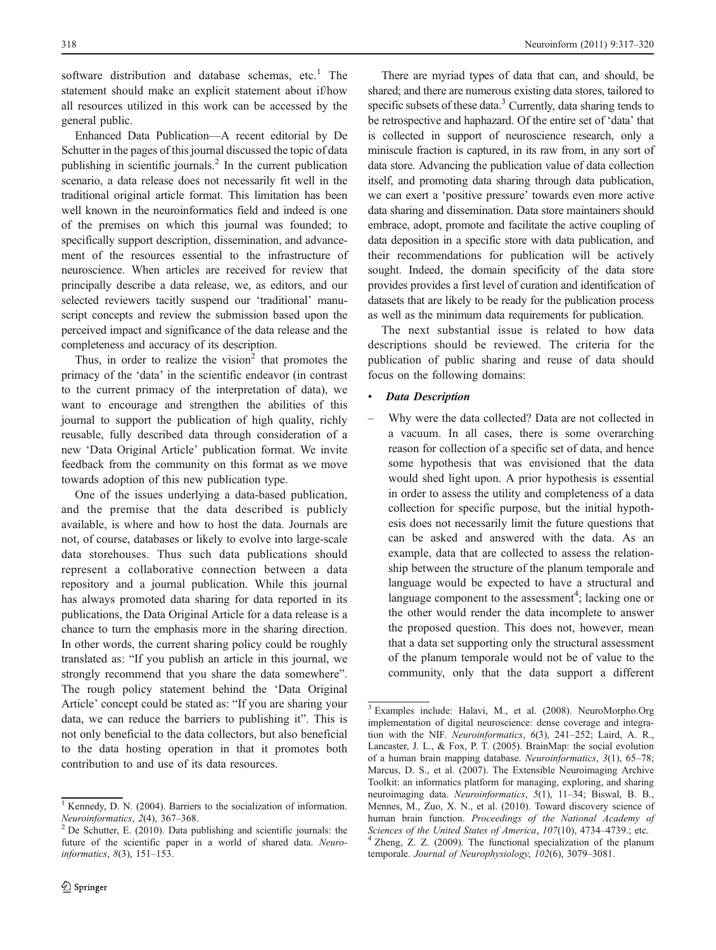software distribution and database schemas,  $etc.<sup>1</sup>$  The statement should make an explicit statement about if/how all resources utilized in this work can be accessed by the general public.

Enhanced Data Publication—A recent editorial by De Schutter in the pages of this journal discussed the topic of data publishing in scientific journals.2 In the current publication scenario, a data release does not necessarily fit well in the traditional original article format. This limitation has been well known in the neuroinformatics field and indeed is one of the premises on which this journal was founded; to specifically support description, dissemination, and advancement of the resources essential to the infrastructure of neuroscience. When articles are received for review that principally describe a data release, we, as editors, and our selected reviewers tacitly suspend our 'traditional' manuscript concepts and review the submission based upon the perceived impact and significance of the data release and the completeness and accuracy of its description.

Thus, in order to realize the vision<sup>2</sup> that promotes the primacy of the 'data' in the scientific endeavor (in contrast to the current primacy of the interpretation of data), we want to encourage and strengthen the abilities of this journal to support the publication of high quality, richly reusable, fully described data through consideration of a new 'Data Original Article' publication format. We invite feedback from the community on this format as we move towards adoption of this new publication type.

One of the issues underlying a data-based publication, and the premise that the data described is publicly available, is where and how to host the data. Journals are not, of course, databases or likely to evolve into large-scale data storehouses. Thus such data publications should represent a collaborative connection between a data repository and a journal publication. While this journal has always promoted data sharing for data reported in its publications, the Data Original Article for a data release is a chance to turn the emphasis more in the sharing direction. In other words, the current sharing policy could be roughly translated as: "If you publish an article in this journal, we strongly recommend that you share the data somewhere". The rough policy statement behind the 'Data Original Article' concept could be stated as: "If you are sharing your data, we can reduce the barriers to publishing it". This is not only beneficial to the data collectors, but also beneficial to the data hosting operation in that it promotes both contribution to and use of its data resources.

There are myriad types of data that can, and should, be shared; and there are numerous existing data stores, tailored to specific subsets of these data.<sup>3</sup> Currently, data sharing tends to be retrospective and haphazard. Of the entire set of 'data' that is collected in support of neuroscience research, only a miniscule fraction is captured, in its raw from, in any sort of data store. Advancing the publication value of data collection itself, and promoting data sharing through data publication, we can exert a 'positive pressure' towards even more active data sharing and dissemination. Data store maintainers should embrace, adopt, promote and facilitate the active coupling of data deposition in a specific store with data publication, and their recommendations for publication will be actively sought. Indeed, the domain specificity of the data store provides provides a first level of curation and identification of datasets that are likely to be ready for the publication process as well as the minimum data requirements for publication.

The next substantial issue is related to how data descriptions should be reviewed. The criteria for the publication of public sharing and reuse of data should focus on the following domains:

## **Data Description**

– Why were the data collected? Data are not collected in a vacuum. In all cases, there is some overarching reason for collection of a specific set of data, and hence some hypothesis that was envisioned that the data would shed light upon. A prior hypothesis is essential in order to assess the utility and completeness of a data collection for specific purpose, but the initial hypothesis does not necessarily limit the future questions that can be asked and answered with the data. As an example, data that are collected to assess the relationship between the structure of the planum temporale and language would be expected to have a structural and language component to the assessment<sup>4</sup>; lacking one or the other would render the data incomplete to answer the proposed question. This does not, however, mean that a data set supporting only the structural assessment of the planum temporale would not be of value to the community, only that the data support a different

<sup>&</sup>lt;sup>1</sup> Kennedy, D. N. (2004). Barriers to the socialization of information. *Neuroinformatics*,  $2(4)$ ,  $367–368$ .

 $<sup>2</sup>$  De Schutter, E. (2010). Data publishing and scientific journals: the</sup> future of the scientific paper in a world of shared data. Neuroinformatics, 8(3), 151–153.

<sup>3</sup> Examples include: Halavi, M., et al. (2008). NeuroMorpho.Org implementation of digital neuroscience: dense coverage and integration with the NIF. Neuroinformatics, 6(3), 241–252; Laird, A. R., Lancaster, J. L., & Fox, P. T. (2005). BrainMap: the social evolution of a human brain mapping database. Neuroinformatics, 3(1), 65–78; Marcus, D. S., et al. (2007). The Extensible Neuroimaging Archive Toolkit: an informatics platform for managing, exploring, and sharing neuroimaging data. Neuroinformatics, 5(1), 11–34; Biswal, B. B., Mennes, M., Zuo, X. N., et al. (2010). Toward discovery science of human brain function. Proceedings of the National Academy of Sciences of the United States of America, 107(10), 4734-4739.; etc.

 $^{4}$  Zheng, Z. Z. (2009). The functional specialization of the planum temporale. Journal of Neurophysiology, 102(6), 3079–3081.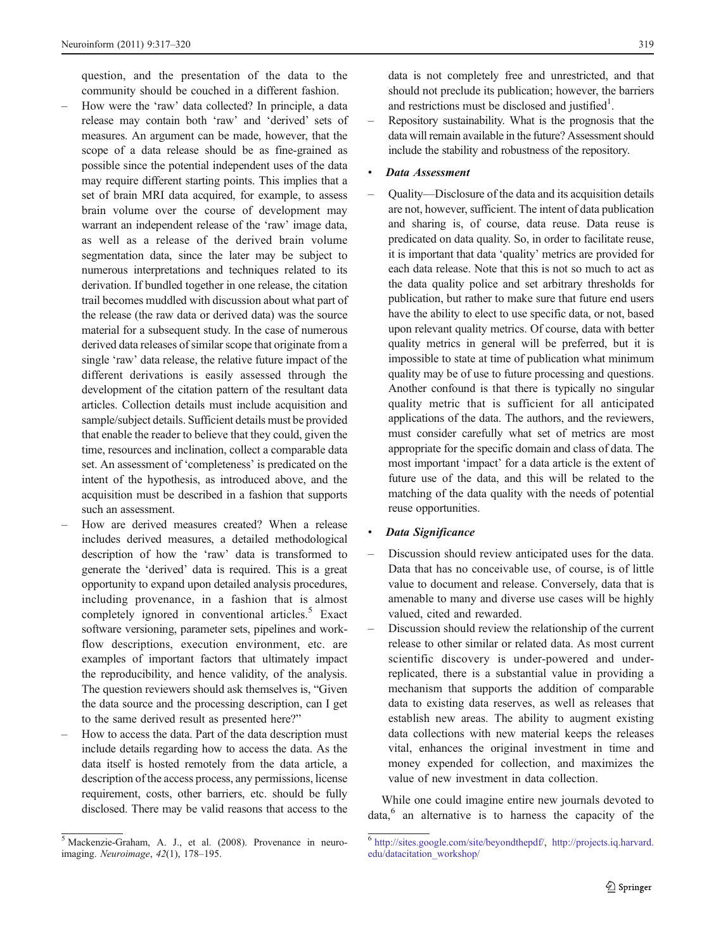question, and the presentation of the data to the community should be couched in a different fashion.

- How were the 'raw' data collected? In principle, a data release may contain both 'raw' and 'derived' sets of measures. An argument can be made, however, that the scope of a data release should be as fine-grained as possible since the potential independent uses of the data may require different starting points. This implies that a set of brain MRI data acquired, for example, to assess brain volume over the course of development may warrant an independent release of the 'raw' image data, as well as a release of the derived brain volume segmentation data, since the later may be subject to numerous interpretations and techniques related to its derivation. If bundled together in one release, the citation trail becomes muddled with discussion about what part of the release (the raw data or derived data) was the source material for a subsequent study. In the case of numerous derived data releases of similar scope that originate from a single 'raw' data release, the relative future impact of the different derivations is easily assessed through the development of the citation pattern of the resultant data articles. Collection details must include acquisition and sample/subject details. Sufficient details must be provided that enable the reader to believe that they could, given the time, resources and inclination, collect a comparable data set. An assessment of 'completeness' is predicated on the intent of the hypothesis, as introduced above, and the acquisition must be described in a fashion that supports such an assessment.
- How are derived measures created? When a release includes derived measures, a detailed methodological description of how the 'raw' data is transformed to generate the 'derived' data is required. This is a great opportunity to expand upon detailed analysis procedures, including provenance, in a fashion that is almost completely ignored in conventional articles.<sup>5</sup> Exact software versioning, parameter sets, pipelines and workflow descriptions, execution environment, etc. are examples of important factors that ultimately impact the reproducibility, and hence validity, of the analysis. The question reviewers should ask themselves is, "Given the data source and the processing description, can I get to the same derived result as presented here?"
- How to access the data. Part of the data description must include details regarding how to access the data. As the data itself is hosted remotely from the data article, a description of the access process, any permissions, license requirement, costs, other barriers, etc. should be fully disclosed. There may be valid reasons that access to the

data is not completely free and unrestricted, and that should not preclude its publication; however, the barriers and restrictions must be disclosed and justified $1$ .

– Repository sustainability. What is the prognosis that the data will remain available in the future? Assessment should include the stability and robustness of the repository.

## Data Assessment

– Quality—Disclosure of the data and its acquisition details are not, however, sufficient. The intent of data publication and sharing is, of course, data reuse. Data reuse is predicated on data quality. So, in order to facilitate reuse, it is important that data 'quality' metrics are provided for each data release. Note that this is not so much to act as the data quality police and set arbitrary thresholds for publication, but rather to make sure that future end users have the ability to elect to use specific data, or not, based upon relevant quality metrics. Of course, data with better quality metrics in general will be preferred, but it is impossible to state at time of publication what minimum quality may be of use to future processing and questions. Another confound is that there is typically no singular quality metric that is sufficient for all anticipated applications of the data. The authors, and the reviewers, must consider carefully what set of metrics are most appropriate for the specific domain and class of data. The most important 'impact' for a data article is the extent of future use of the data, and this will be related to the matching of the data quality with the needs of potential reuse opportunities.

## Data Significance

- Discussion should review anticipated uses for the data. Data that has no conceivable use, of course, is of little value to document and release. Conversely, data that is amenable to many and diverse use cases will be highly valued, cited and rewarded.
- Discussion should review the relationship of the current release to other similar or related data. As most current scientific discovery is under-powered and underreplicated, there is a substantial value in providing a mechanism that supports the addition of comparable data to existing data reserves, as well as releases that establish new areas. The ability to augment existing data collections with new material keeps the releases vital, enhances the original investment in time and money expended for collection, and maximizes the value of new investment in data collection.

While one could imagine entire new journals devoted to data,<sup>6</sup> an alternative is to harness the capacity of the

 $\frac{5}{3}$  Mackenzie-Graham, A. J., et al. (2008). Provenance in neuroimaging. Neuroimage, 42(1), 178–195.

<sup>6</sup> [http://sites.google.com/site/beyondthepdf/,](http://sites.google.com/site/beyondthepdf/) [http://projects.iq.harvard.](http://projects.iq.harvard.edu/datacitation_workshop/) [edu/datacitation\\_workshop/](http://projects.iq.harvard.edu/datacitation_workshop/)